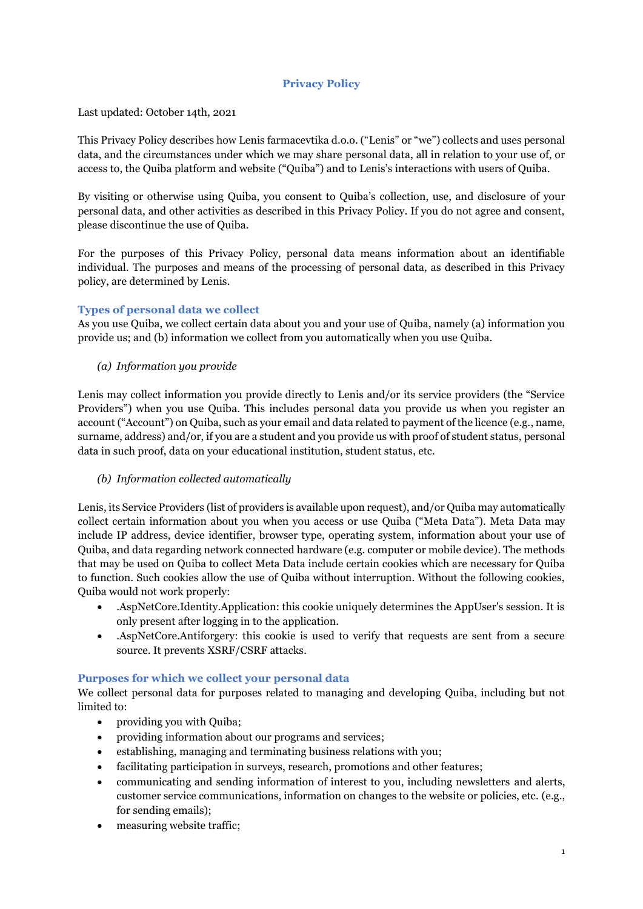# **Privacy Policy**

Last updated: October 14th, 2021

This Privacy Policy describes how Lenis farmacevtika d.o.o. ("Lenis" or "we") collects and uses personal data, and the circumstances under which we may share personal data, all in relation to your use of, or access to, the Quiba platform and website ("Quiba") and to Lenis's interactions with users of Quiba.

By visiting or otherwise using Quiba, you consent to Quiba's collection, use, and disclosure of your personal data, and other activities as described in this Privacy Policy. If you do not agree and consent, please discontinue the use of Quiba.

For the purposes of this Privacy Policy, personal data means information about an identifiable individual. The purposes and means of the processing of personal data, as described in this Privacy policy, are determined by Lenis.

## **Types of personal data we collect**

As you use Quiba, we collect certain data about you and your use of Quiba, namely (a) information you provide us; and (b) information we collect from you automatically when you use Quiba.

*(a) Information you provide*

Lenis may collect information you provide directly to Lenis and/or its service providers (the "Service Providers") when you use Quiba. This includes personal data you provide us when you register an account ("Account") on Quiba, such as your email and data related to payment of the licence (e.g., name, surname, address) and/or, if you are a student and you provide us with proof of student status, personal data in such proof, data on your educational institution, student status, etc.

## *(b) Information collected automatically*

Lenis, its Service Providers (list of providers is available upon request), and/or Quiba may automatically collect certain information about you when you access or use Quiba ("Meta Data"). Meta Data may include IP address, device identifier, browser type, operating system, information about your use of Quiba, and data regarding network connected hardware (e.g. computer or mobile device). The methods that may be used on Quiba to collect Meta Data include certain cookies which are necessary for Quiba to function. Such cookies allow the use of Quiba without interruption. Without the following cookies, Quiba would not work properly:

- .AspNetCore.Identity.Application: this cookie uniquely determines the AppUser's session. It is only present after logging in to the application.
- .AspNetCore.Antiforgery: this cookie is used to verify that requests are sent from a secure source. It prevents XSRF/CSRF attacks.

## **Purposes for which we collect your personal data**

We collect personal data for purposes related to managing and developing Quiba, including but not limited to:

- providing you with Quiba;
- providing information about our programs and services;
- establishing, managing and terminating business relations with you;
- facilitating participation in surveys, research, promotions and other features;
- communicating and sending information of interest to you, including newsletters and alerts, customer service communications, information on changes to the website or policies, etc. (e.g., for sending emails);
- measuring website traffic;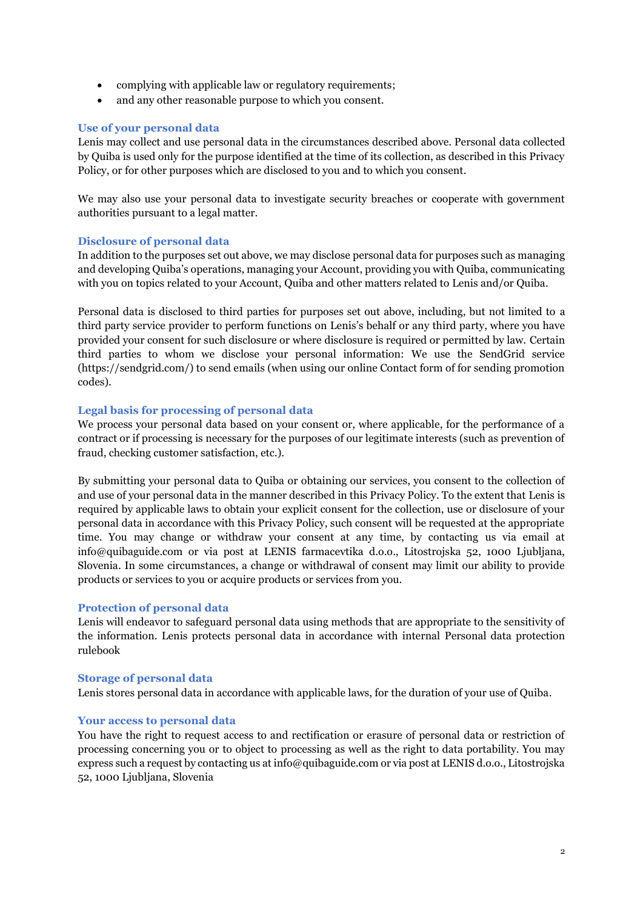- complying with applicable law or regulatory requirements;
- and any other reasonable purpose to which you consent.

### **Use of your personal data**

Lenis may collect and use personal data in the circumstances described above. Personal data collected by Quiba is used only for the purpose identified at the time of its collection, as described in this Privacy Policy, or for other purposes which are disclosed to you and to which you consent.

We may also use your personal data to investigate security breaches or cooperate with government authorities pursuant to a legal matter.

#### **Disclosure of personal data**

In addition to the purposes set out above, we may disclose personal data for purposes such as managing and developing Quiba's operations, managing your Account, providing you with Quiba, communicating with you on topics related to your Account, Quiba and other matters related to Lenis and/or Quiba.

Personal data is disclosed to third parties for purposes set out above, including, but not limited to a third party service provider to perform functions on Lenis's behalf or any third party, where you have provided your consent for such disclosure or where disclosure is required or permitted by law. Certain third parties to whom we disclose your personal information: We use the SendGrid service (https://sendgrid.com/) to send emails (when using our online Contact form of for sending promotion codes).

#### **Legal basis for processing of personal data**

We process your personal data based on your consent or, where applicable, for the performance of a contract or if processing is necessary for the purposes of our legitimate interests (such as prevention of fraud, checking customer satisfaction, etc.).

By submitting your personal data to Quiba or obtaining our services, you consent to the collection of and use of your personal data in the manner described in this Privacy Policy. To the extent that Lenis is required by applicable laws to obtain your explicit consent for the collection, use or disclosure of your personal data in accordance with this Privacy Policy, such consent will be requested at the appropriate time. You may change or withdraw your consent at any time, by contacting us via email at info@quibaguide.com or via post at LENIS farmacevtika d.o.o., Litostrojska 52, 1000 Ljubljana, Slovenia. In some circumstances, a change or withdrawal of consent may limit our ability to provide products or services to you or acquire products or services from you.

#### **Protection of personal data**

Lenis will endeavor to safeguard personal data using methods that are appropriate to the sensitivity of the information. Lenis protects personal data in accordance with internal Personal data protection rulebook

#### **Storage of personal data**

Lenis stores personal data in accordance with applicable laws, for the duration of your use of Quiba.

#### **Your access to personal data**

You have the right to request access to and rectification or erasure of personal data or restriction of processing concerning you or to object to processing as well as the right to data portability. You may express such a request by contacting us at info@quibaguide.com or via post at LENIS d.o.o., Litostrojska 52, 1000 Ljubljana, Slovenia